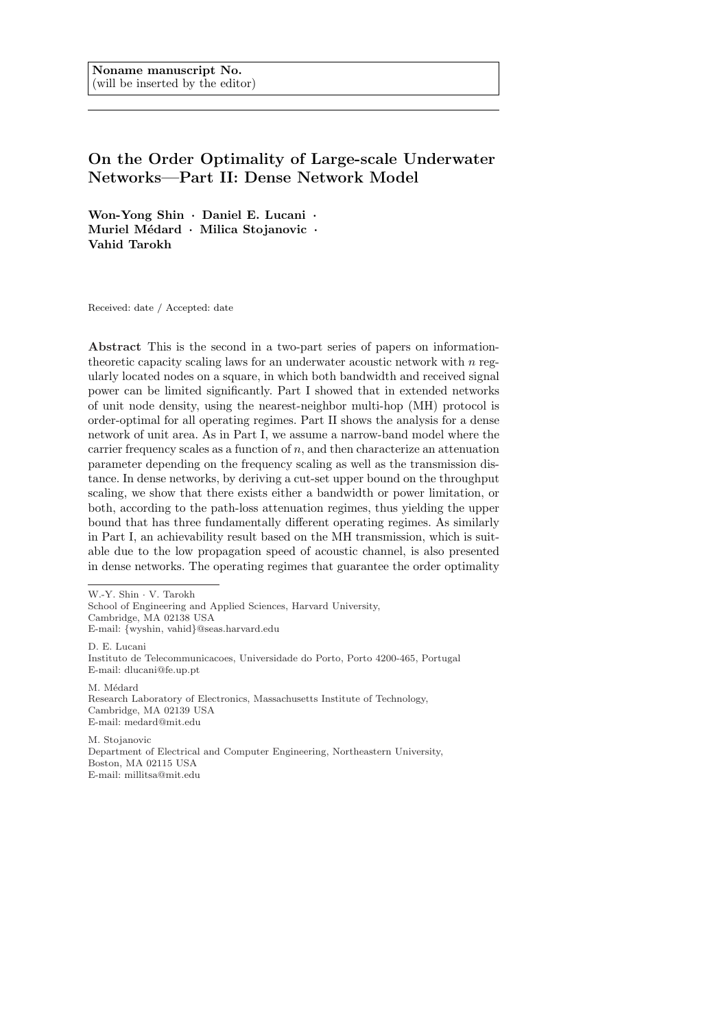# On the Order Optimality of Large-scale Underwater Networks—Part II: Dense Network Model

Won-Yong Shin · Daniel E. Lucani · Muriel Médard · Milica Stojanovic · Vahid Tarokh

Received: date / Accepted: date

Abstract This is the second in a two-part series of papers on informationtheoretic capacity scaling laws for an underwater acoustic network with  $n$  regularly located nodes on a square, in which both bandwidth and received signal power can be limited significantly. Part I showed that in extended networks of unit node density, using the nearest-neighbor multi-hop (MH) protocol is order-optimal for all operating regimes. Part II shows the analysis for a dense network of unit area. As in Part I, we assume a narrow-band model where the carrier frequency scales as a function of n, and then characterize an attenuation parameter depending on the frequency scaling as well as the transmission distance. In dense networks, by deriving a cut-set upper bound on the throughput scaling, we show that there exists either a bandwidth or power limitation, or both, according to the path-loss attenuation regimes, thus yielding the upper bound that has three fundamentally different operating regimes. As similarly in Part I, an achievability result based on the MH transmission, which is suitable due to the low propagation speed of acoustic channel, is also presented in dense networks. The operating regimes that guarantee the order optimality

W.-Y. Shin · V. Tarokh

School of Engineering and Applied Sciences, Harvard University, Cambridge, MA 02138 USA E-mail: {wyshin, vahid}@seas.harvard.edu D. E. Lucani Instituto de Telecommunicacoes, Universidade do Porto, Porto 4200-465, Portugal E-mail: dlucani@fe.up.pt

M. Médard Research Laboratory of Electronics, Massachusetts Institute of Technology, Cambridge, MA 02139 USA E-mail: medard@mit.edu

M. Stojanovic Department of Electrical and Computer Engineering, Northeastern University, Boston, MA 02115 USA E-mail: millitsa@mit.edu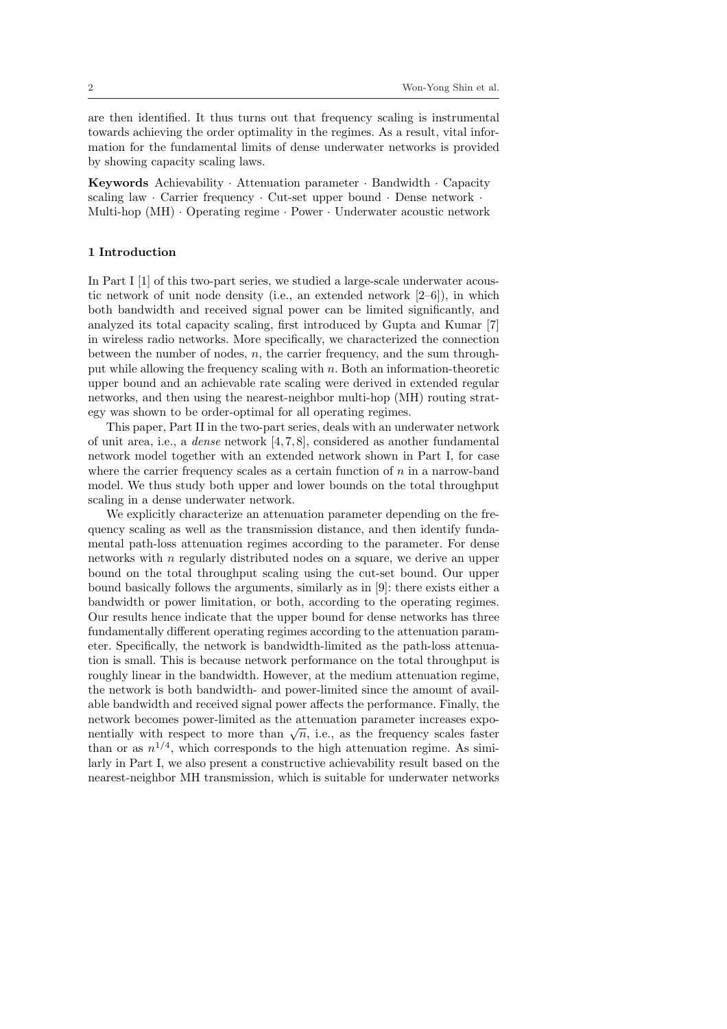are then identified. It thus turns out that frequency scaling is instrumental towards achieving the order optimality in the regimes. As a result, vital information for the fundamental limits of dense underwater networks is provided by showing capacity scaling laws.

Keywords Achievability · Attenuation parameter · Bandwidth · Capacity scaling law · Carrier frequency · Cut-set upper bound · Dense network · Multi-hop (MH) · Operating regime · Power · Underwater acoustic network

#### 1 Introduction

In Part I [1] of this two-part series, we studied a large-scale underwater acoustic network of unit node density (i.e., an extended network [2–6]), in which both bandwidth and received signal power can be limited significantly, and analyzed its total capacity scaling, first introduced by Gupta and Kumar [7] in wireless radio networks. More specifically, we characterized the connection between the number of nodes,  $n$ , the carrier frequency, and the sum throughput while allowing the frequency scaling with n. Both an information-theoretic upper bound and an achievable rate scaling were derived in extended regular networks, and then using the nearest-neighbor multi-hop (MH) routing strategy was shown to be order-optimal for all operating regimes.

This paper, Part II in the two-part series, deals with an underwater network of unit area, i.e., a *dense* network  $[4, 7, 8]$ , considered as another fundamental network model together with an extended network shown in Part I, for case where the carrier frequency scales as a certain function of  $n$  in a narrow-band model. We thus study both upper and lower bounds on the total throughput scaling in a dense underwater network.

We explicitly characterize an attenuation parameter depending on the frequency scaling as well as the transmission distance, and then identify fundamental path-loss attenuation regimes according to the parameter. For dense networks with n regularly distributed nodes on a square, we derive an upper bound on the total throughput scaling using the cut-set bound. Our upper bound basically follows the arguments, similarly as in [9]: there exists either a bandwidth or power limitation, or both, according to the operating regimes. Our results hence indicate that the upper bound for dense networks has three fundamentally different operating regimes according to the attenuation parameter. Specifically, the network is bandwidth-limited as the path-loss attenuation is small. This is because network performance on the total throughput is roughly linear in the bandwidth. However, at the medium attenuation regime, the network is both bandwidth- and power-limited since the amount of available bandwidth and received signal power affects the performance. Finally, the network becomes power-limited as the attenuation parameter increases exponetwork becomes power-infinited as the attenuation parameter increases exponentially with respect to more than  $\sqrt{n}$ , i.e., as the frequency scales faster than or as  $n^{1/4}$ , which corresponds to the high attenuation regime. As similarly in Part I, we also present a constructive achievability result based on the nearest-neighbor MH transmission, which is suitable for underwater networks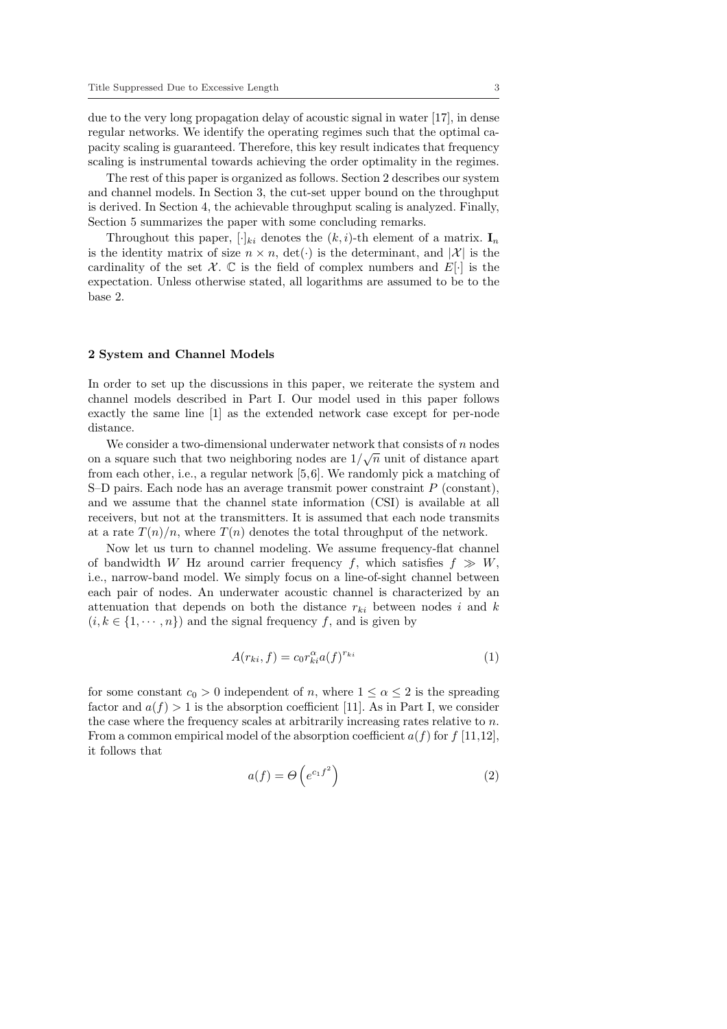due to the very long propagation delay of acoustic signal in water [17], in dense regular networks. We identify the operating regimes such that the optimal capacity scaling is guaranteed. Therefore, this key result indicates that frequency scaling is instrumental towards achieving the order optimality in the regimes.

The rest of this paper is organized as follows. Section 2 describes our system and channel models. In Section 3, the cut-set upper bound on the throughput is derived. In Section 4, the achievable throughput scaling is analyzed. Finally, Section 5 summarizes the paper with some concluding remarks.

Throughout this paper,  $[\cdot]_{ki}$  denotes the  $(k, i)$ -th element of a matrix.  $I_n$ is the identity matrix of size  $n \times n$ ,  $\det(\cdot)$  is the determinant, and  $|\mathcal{X}|$  is the cardinality of the set  $\mathcal{X}$ . C is the field of complex numbers and  $E[\cdot]$  is the expectation. Unless otherwise stated, all logarithms are assumed to be to the base 2.

#### 2 System and Channel Models

In order to set up the discussions in this paper, we reiterate the system and channel models described in Part I. Our model used in this paper follows exactly the same line [1] as the extended network case except for per-node distance.

We consider a two-dimensional underwater network that consists of  $n$  nodes on a square such that two neighboring nodes are  $1/\sqrt{n}$  unit of distance apart from each other, i.e., a regular network [5,6]. We randomly pick a matching of S–D pairs. Each node has an average transmit power constraint  $P$  (constant), and we assume that the channel state information (CSI) is available at all receivers, but not at the transmitters. It is assumed that each node transmits at a rate  $T(n)/n$ , where  $T(n)$  denotes the total throughput of the network.

Now let us turn to channel modeling. We assume frequency-flat channel of bandwidth W Hz around carrier frequency f, which satisfies  $f \gg W$ , i.e., narrow-band model. We simply focus on a line-of-sight channel between each pair of nodes. An underwater acoustic channel is characterized by an attenuation that depends on both the distance  $r_{ki}$  between nodes i and k  $(i, k \in \{1, \dots, n\})$  and the signal frequency f, and is given by

$$
A(r_{ki}, f) = c_0 r_{ki}^{\alpha} a(f)^{r_{ki}} \tag{1}
$$

for some constant  $c_0 > 0$  independent of n, where  $1 \leq \alpha \leq 2$  is the spreading factor and  $a(f) > 1$  is the absorption coefficient [11]. As in Part I, we consider the case where the frequency scales at arbitrarily increasing rates relative to  $n$ . From a common empirical model of the absorption coefficient  $a(f)$  for  $f$  [11,12], it follows that

$$
a(f) = \Theta\left(e^{c_1 f^2}\right) \tag{2}
$$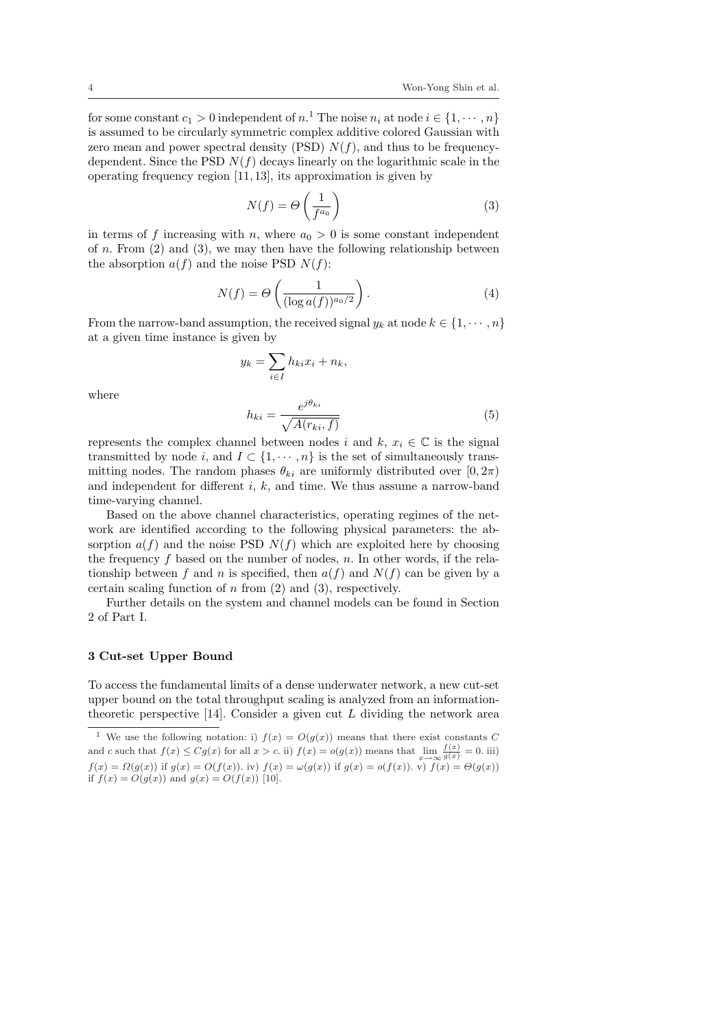for some constant  $c_1 > 0$  independent of  $n<sup>1</sup>$ . The noise  $n<sub>i</sub>$  at node  $i \in \{1, \cdots, n\}$ is assumed to be circularly symmetric complex additive colored Gaussian with zero mean and power spectral density (PSD)  $N(f)$ , and thus to be frequencydependent. Since the PSD  $N(f)$  decays linearly on the logarithmic scale in the operating frequency region [11, 13], its approximation is given by

$$
N(f) = \Theta\left(\frac{1}{f^{a_0}}\right) \tag{3}
$$

in terms of f increasing with n, where  $a_0 > 0$  is some constant independent of n. From  $(2)$  and  $(3)$ , we may then have the following relationship between the absorption  $a(f)$  and the noise PSD  $N(f)$ :

$$
N(f) = \Theta\left(\frac{1}{(\log a(f))^{a_0/2}}\right).
$$
 (4)

From the narrow-band assumption, the received signal  $y_k$  at node  $k \in \{1, \dots, n\}$ at a given time instance is given by

$$
y_k = \sum_{i \in I} h_{ki} x_i + n_k,
$$

where

$$
h_{ki} = \frac{e^{j\theta_{ki}}}{\sqrt{A(r_{ki}, f)}}
$$
\n<sup>(5)</sup>

represents the complex channel between nodes i and k,  $x_i \in \mathbb{C}$  is the signal transmitted by node i, and  $I \subset \{1, \dots, n\}$  is the set of simultaneously transmitting nodes. The random phases  $\theta_{ki}$  are uniformly distributed over  $[0, 2\pi)$ and independent for different  $i, k$ , and time. We thus assume a narrow-band time-varying channel.

Based on the above channel characteristics, operating regimes of the network are identified according to the following physical parameters: the absorption  $a(f)$  and the noise PSD  $N(f)$  which are exploited here by choosing the frequency f based on the number of nodes,  $n$ . In other words, if the relationship between f and n is specified, then  $a(f)$  and  $N(f)$  can be given by a certain scaling function of  $n$  from  $(2)$  and  $(3)$ , respectively.

Further details on the system and channel models can be found in Section 2 of Part I.

## 3 Cut-set Upper Bound

To access the fundamental limits of a dense underwater network, a new cut-set upper bound on the total throughput scaling is analyzed from an informationtheoretic perspective  $[14]$ . Consider a given cut  $L$  dividing the network area

<sup>&</sup>lt;sup>1</sup> We use the following notation: i)  $f(x) = O(g(x))$  means that there exist constants C and c such that  $f(x) \leq Cg(x)$  for all  $x > c$ . ii)  $f(x) = o(g(x))$  means that  $\lim_{x \to \infty} \frac{f(x)}{g(x)} = 0$ . iii)  $f(x) = \Omega(g(x))$  if  $g(x) = O(f(x))$ . iv)  $f(x) = \omega(g(x))$  if  $g(x) = o(f(x))$ . v)  $f(x) = \Theta(g(x))$ if  $f(x) = O(g(x))$  and  $g(x) = O(f(x))$  [10].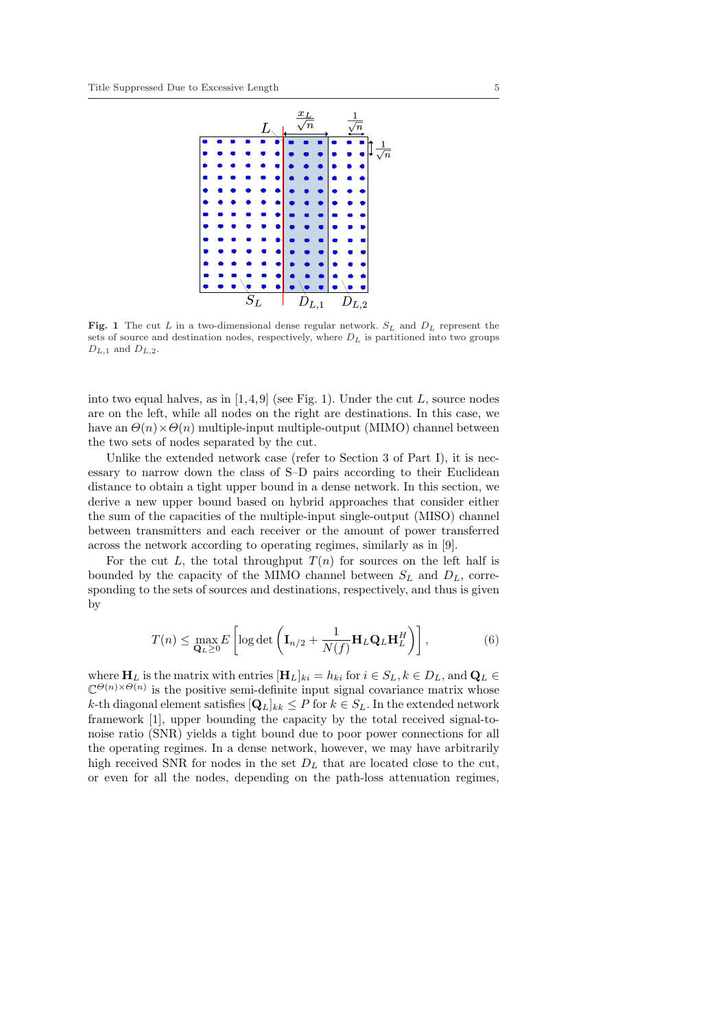

Fig. 1 The cut L in a two-dimensional dense regular network.  $S_L$  and  $D_L$  represent the sets of source and destination nodes, respectively, where  $D<sub>L</sub>$  is partitioned into two groups  $D_{L,1}$  and  $D_{L,2}$ .

into two equal halves, as in  $[1, 4, 9]$  (see Fig. 1). Under the cut L, source nodes are on the left, while all nodes on the right are destinations. In this case, we have an  $\Theta(n) \times \Theta(n)$  multiple-input multiple-output (MIMO) channel between the two sets of nodes separated by the cut.

Unlike the extended network case (refer to Section 3 of Part I), it is necessary to narrow down the class of S–D pairs according to their Euclidean distance to obtain a tight upper bound in a dense network. In this section, we derive a new upper bound based on hybrid approaches that consider either the sum of the capacities of the multiple-input single-output (MISO) channel between transmitters and each receiver or the amount of power transferred across the network according to operating regimes, similarly as in [9].

For the cut L, the total throughput  $T(n)$  for sources on the left half is bounded by the capacity of the MIMO channel between  $S_L$  and  $D_L$ , corresponding to the sets of sources and destinations, respectively, and thus is given by

$$
T(n) \leq \max_{\mathbf{Q}_L \geq 0} E\left[ \log \det \left( \mathbf{I}_{n/2} + \frac{1}{N(f)} \mathbf{H}_L \mathbf{Q}_L \mathbf{H}_L^H \right) \right],\tag{6}
$$

where  $H_L$  is the matrix with entries  $[H_L]_{ki} = h_{ki}$  for  $i \in S_L, k \in D_L$ , and  $\mathbf{Q}_L \in$  $\mathbb{C}^{\Theta(n)\times\Theta(n)}$  is the positive semi-definite input signal covariance matrix whose k-th diagonal element satisfies  $[Q_L]_{kk} \leq P$  for  $k \in S_L$ . In the extended network framework [1], upper bounding the capacity by the total received signal-tonoise ratio (SNR) yields a tight bound due to poor power connections for all the operating regimes. In a dense network, however, we may have arbitrarily high received SNR for nodes in the set  $D<sub>L</sub>$  that are located close to the cut, or even for all the nodes, depending on the path-loss attenuation regimes,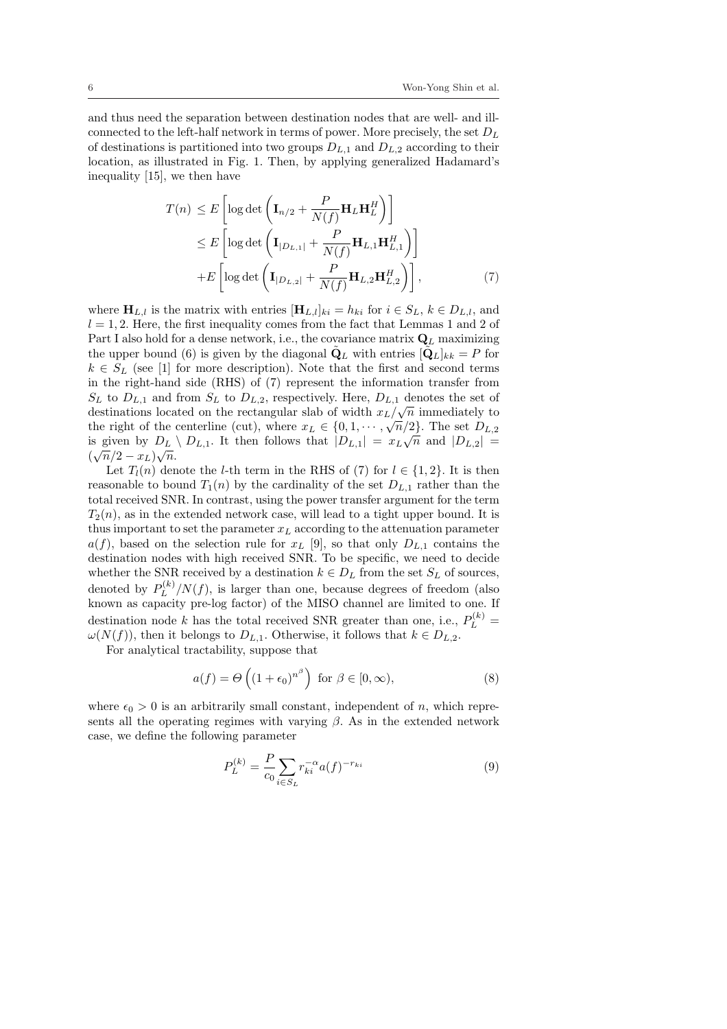and thus need the separation between destination nodes that are well- and illconnected to the left-half network in terms of power. More precisely, the set  $D_L$ of destinations is partitioned into two groups  $D_{L,1}$  and  $D_{L,2}$  according to their location, as illustrated in Fig. 1. Then, by applying generalized Hadamard's inequality [15], we then have

$$
T(n) \le E\left[\log \det\left(\mathbf{I}_{n/2} + \frac{P}{N(f)}\mathbf{H}_L\mathbf{H}_L^H\right)\right]
$$
  
\n
$$
\le E\left[\log \det\left(\mathbf{I}_{|D_{L,1}|} + \frac{P}{N(f)}\mathbf{H}_{L,1}\mathbf{H}_{L,1}^H\right)\right]
$$
  
\n
$$
+ E\left[\log \det\left(\mathbf{I}_{|D_{L,2}|} + \frac{P}{N(f)}\mathbf{H}_{L,2}\mathbf{H}_{L,2}^H\right)\right],
$$
\n(7)

where  $\mathbf{H}_{L,l}$  is the matrix with entries  $[\mathbf{H}_{L,l}]_{ki} = h_{ki}$  for  $i \in S_L$ ,  $k \in D_{L,l}$ , and  $l = 1, 2$ . Here, the first inequality comes from the fact that Lemmas 1 and 2 of Part I also hold for a dense network, i.e., the covariance matrix  $\mathbf{Q}_L$  maximizing the upper bound (6) is given by the diagonal  $\tilde{\mathbf{Q}}_L$  with entries  $[\tilde{\mathbf{Q}}_L]_{kk} = P$  for  $k \in S_L$  (see [1] for more description). Note that the first and second terms in the right-hand side (RHS) of (7) represent the information transfer from  $S_L$  to  $D_{L,1}$  and from  $S_L$  to  $D_{L,2}$ , respectively. Here,  $D_{L,1}$  denotes the set of destinations located on the rectangular slab of width  $x_L/\sqrt{n}$  immediately to the right of the centerline (cut), where  $x_L \in \{0, 1, \dots, \sqrt{n/2}\}$ . The set  $D_{L,2}$ is given by  $D_L \setminus D_{L,1}$ . It then follows that  $|D_{L,1}| = x_L \sqrt{n}$  and  $|D_{L,2}| =$  $(\sqrt{n}/2 - x_L)\sqrt{n}.$ 

Let  $T_l(n)$  denote the *l*-th term in the RHS of (7) for  $l \in \{1,2\}$ . It is then reasonable to bound  $T_1(n)$  by the cardinality of the set  $D_{L,1}$  rather than the total received SNR. In contrast, using the power transfer argument for the term  $T_2(n)$ , as in the extended network case, will lead to a tight upper bound. It is thus important to set the parameter  $x<sub>L</sub>$  according to the attenuation parameter  $a(f)$ , based on the selection rule for  $x_L$  [9], so that only  $D_{L,1}$  contains the destination nodes with high received SNR. To be specific, we need to decide whether the SNR received by a destination  $k \in D_L$  from the set  $S_L$  of sources, denoted by  $P_L^{(k)}$  $\int_L^{(k)}/N(f)$ , is larger than one, because degrees of freedom (also known as capacity pre-log factor) of the MISO channel are limited to one. If destination node k has the total received SNR greater than one, i.e.,  $P_L^{(k)}$  =  $\omega(N(f))$ , then it belongs to  $D_{L,1}$ . Otherwise, it follows that  $k \in D_{L,2}$ .

For analytical tractability, suppose that

$$
a(f) = \Theta\left((1 + \epsilon_0)^{n^{\beta}}\right) \text{ for } \beta \in [0, \infty),\tag{8}
$$

where  $\epsilon_0 > 0$  is an arbitrarily small constant, independent of n, which represents all the operating regimes with varying  $\beta$ . As in the extended network case, we define the following parameter

$$
P_L^{(k)} = \frac{P}{c_0} \sum_{i \in S_L} r_{ki}^{-\alpha} a(f)^{-r_{ki}} \tag{9}
$$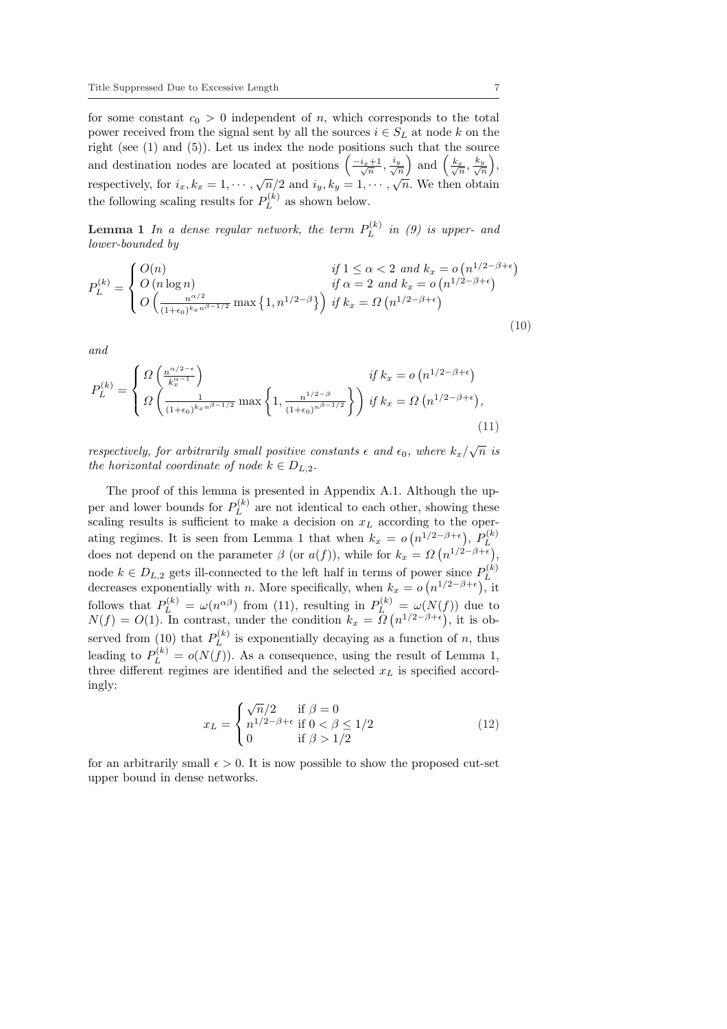for some constant  $c_0 > 0$  independent of n, which corresponds to the total power received from the signal sent by all the sources  $i \in S_L$  at node k on the right (see  $(1)$  and  $(5)$ ). Let us index the node positions such that the source right (see (1) and (5)). Let us more the node positions su<br>and destination nodes are located at positions  $\left(\frac{-i_x+1}{\sqrt{n}}, \frac{i_y}{\sqrt{n}}\right)$ ich that the sour<br>  $\left(\frac{k_x}{\sqrt{n}}, \frac{k_y}{\sqrt{r}}\right)$  $\frac{y}{n}\Big),$ respectively, for  $i_x, k_x = 1, \dots, \sqrt{n}/2$  and  $i_y, k_y = 1, \dots, \sqrt{n}$ . We then obtain the following scaling results for  $P_L^{(k)}$  $L^{(\kappa)}$  as shown below.

**Lemma 1** In a dense regular network, the term  $P_L^{(k)}$  $L^{(\kappa)}$  in (9) is upper- and lower-bounded by

$$
P_L^{(k)} = \begin{cases} O(n) & \text{if } 1 \le \alpha < 2 \text{ and } k_x = o(n^{1/2 - \beta + \epsilon}) \\ O(n \log n) & \text{if } \alpha = 2 \text{ and } k_x = o(n^{1/2 - \beta + \epsilon}) \\ O\left(\frac{n^{\alpha/2}}{(1 + \epsilon_0)^{k_x n^{\beta - 1/2}}}\max\left\{1, n^{1/2 - \beta}\right\}\right) & \text{if } k_x = \Omega(n^{1/2 - \beta + \epsilon}) \end{cases}
$$
(10)

and

$$
P_L^{(k)} = \begin{cases} \Omega\left(\frac{n^{\alpha/2-\epsilon}}{k_x^{\alpha-1}}\right) & \text{if } k_x = o\left(n^{1/2-\beta+\epsilon}\right) \\ \Omega\left(\frac{1}{\left(1+\epsilon_0\right)^{k_x n^{\beta-1/2}}}\max\left\{1, \frac{n^{1/2-\beta}}{\left(1+\epsilon_0\right)^{n^{\beta-1/2}}}\right\}\right) & \text{if } k_x = \Omega\left(n^{1/2-\beta+\epsilon}\right), \end{cases} \tag{11}
$$

respectively, for arbitrarily small positive constants  $\epsilon$  and  $\epsilon_0$ , where  $k_x/\sqrt{n}$  is the horizontal coordinate of node  $k \in D_{L,2}$ .

The proof of this lemma is presented in Appendix A.1. Although the upper and lower bounds for  $P_L^{(k)}$  $L^{(k)}$  are not identical to each other, showing these scaling results is sufficient to make a decision on  $x_L$  according to the operating regimes. It is seen from Lemma 1 that when  $k_x = o(n^{1/2-\beta+\epsilon})$ ,  $P_L^{(k)}$  $\frac{1}{2}$ ,  $\frac{1}{2}$ ,  $\frac{1}{2}$ does not depend on the parameter  $\beta$  (or  $a(f)$ ), while for  $k_x = \Omega(n^{1/2-\beta+\epsilon})$ , node  $k \in D_{L,2}$  gets ill-connected to the left half in terms of power since  $P_L^{(k)}$ wer since  $P_L$ decreases exponentially with *n*. More specifically, when  $k_x = o(n^{1/2-\beta+\epsilon})$ , it follows that  $P_L^{(k)} = \omega(n^{\alpha \beta})$  from (11), resulting in  $P_L^{(k)} = \omega(N(f))$  due to  $N(f) = O(1)$ . In contrast, under the condition  $k_x = \Omega$ ¡  $=\frac{\omega(N)}{n^{1/2-\beta+\epsilon}}$ , it is observed from (10) that  $P_L^{(k)}$  $L^{(k)}$  is exponentially decaying as a function of n, thus leading to  $P_L^{(k)} = o(N(f))$ . As a consequence, using the result of Lemma 1, three different regimes are identified and the selected  $x_L$  is specified accordingly:

$$
x_L = \begin{cases} \sqrt{n}/2 & \text{if } \beta = 0\\ n^{1/2 - \beta + \epsilon} & \text{if } 0 < \beta \le 1/2\\ 0 & \text{if } \beta > 1/2 \end{cases} \tag{12}
$$

for an arbitrarily small  $\epsilon > 0$ . It is now possible to show the proposed cut-set upper bound in dense networks.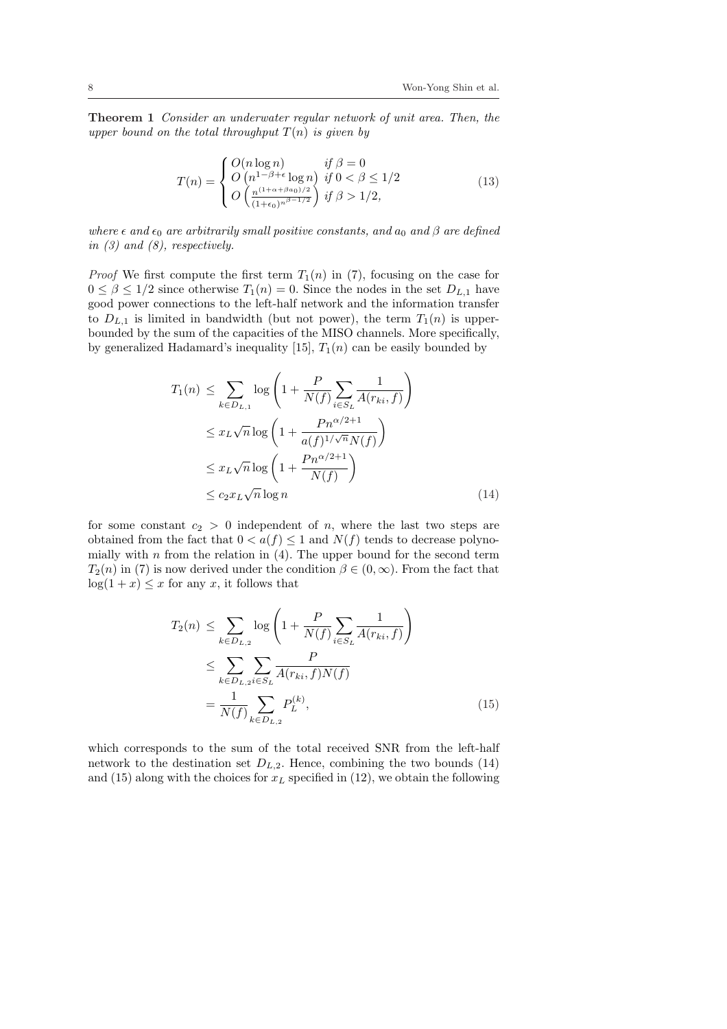Theorem 1 Consider an underwater regular network of unit area. Then, the upper bound on the total throughput  $T(n)$  is given by

$$
T(n) = \begin{cases} O(n \log n) & \text{if } \beta = 0\\ O\left(n^{1-\beta+\epsilon} \log n\right) & \text{if } 0 < \beta \le 1/2\\ O\left(\frac{n^{(1+\alpha+\beta a_0)/2}}{(1+\epsilon_0)^{n\beta-1/2}}\right) & \text{if } \beta > 1/2, \end{cases} \tag{13}
$$

where  $\epsilon$  and  $\epsilon_0$  are arbitrarily small positive constants, and  $a_0$  and  $\beta$  are defined in  $(3)$  and  $(8)$ , respectively.

*Proof* We first compute the first term  $T_1(n)$  in (7), focusing on the case for  $0 \leq \beta \leq 1/2$  since otherwise  $T_1(n) = 0$ . Since the nodes in the set  $D_{L,1}$  have good power connections to the left-half network and the information transfer to  $D_{L,1}$  is limited in bandwidth (but not power), the term  $T_1(n)$  is upperbounded by the sum of the capacities of the MISO channels. More specifically, by generalized Hadamard's inequality [15],  $T_1(n)$  can be easily bounded by

$$
T_1(n) \leq \sum_{k \in D_{L,1}} \log \left( 1 + \frac{P}{N(f)} \sum_{i \in S_L} \frac{1}{A(r_{ki}, f)} \right)
$$
  
\n
$$
\leq x_L \sqrt{n} \log \left( 1 + \frac{Pn^{\alpha/2+1}}{a(f)^{1/\sqrt{n}} N(f)} \right)
$$
  
\n
$$
\leq x_L \sqrt{n} \log \left( 1 + \frac{Pn^{\alpha/2+1}}{N(f)} \right)
$$
  
\n
$$
\leq c_2 x_L \sqrt{n} \log n \tag{14}
$$

for some constant  $c_2 > 0$  independent of n, where the last two steps are obtained from the fact that  $0 < a(f) \leq 1$  and  $N(f)$  tends to decrease polynomially with  $n$  from the relation in  $(4)$ . The upper bound for the second term  $T_2(n)$  in (7) is now derived under the condition  $\beta \in (0,\infty)$ . From the fact that  $log(1 + x) \leq x$  for any x, it follows that

$$
T_2(n) \leq \sum_{k \in D_{L,2}} \log \left( 1 + \frac{P}{N(f)} \sum_{i \in S_L} \frac{1}{A(r_{ki}, f)} \right)
$$
  

$$
\leq \sum_{k \in D_{L,2}} \sum_{i \in S_L} \frac{P}{A(r_{ki}, f)N(f)}
$$
  

$$
= \frac{1}{N(f)} \sum_{k \in D_{L,2}} P_L^{(k)},
$$
 (15)

which corresponds to the sum of the total received SNR from the left-half network to the destination set  $D_{L,2}$ . Hence, combining the two bounds (14) and (15) along with the choices for  $x<sub>L</sub>$  specified in (12), we obtain the following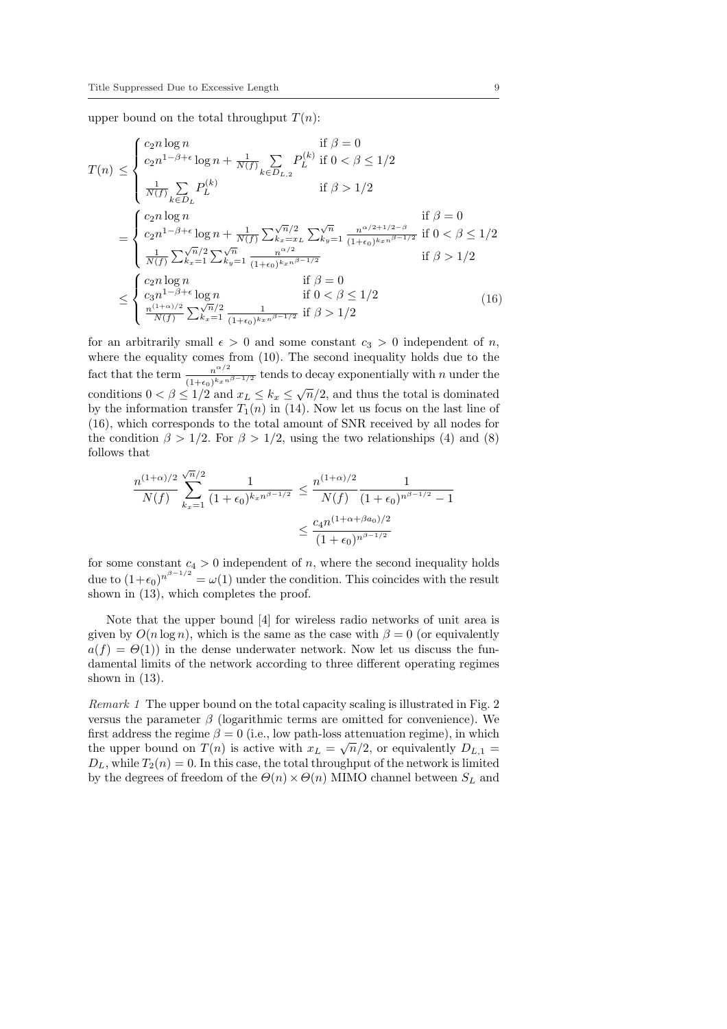upper bound on the total throughput  $T(n)$ :

$$
T(n) \leq \begin{cases} c_2 n \log n & \text{if } \beta = 0\\ c_2 n^{1-\beta+\epsilon} \log n + \frac{1}{N(f)} \sum_{k \in D_{L,2}} P_L^{(k)} & \text{if } 0 < \beta \leq 1/2\\ \frac{1}{N(f)} \sum_{k \in D_L} P_L^{(k)} & \text{if } \beta > 1/2 \end{cases}
$$

$$
= \begin{cases} c_2 n \log n & \text{if } \beta = 0\\ c_2 n^{1-\beta+\epsilon} \log n + \frac{1}{N(f)} \sum_{k=x_{L}}^{\sqrt{n}/2} \sum_{k_{y}=1}^{\sqrt{n}} \frac{n^{\alpha/2+1/2-\beta}}{(1+\epsilon_0)^{k_x n^{\beta-1/2}}} & \text{if } 0 < \beta \leq 1/2\\ \frac{1}{N(f)} \sum_{k_x=1}^{\sqrt{n}/2} \sum_{k_y=1}^{\sqrt{n}} \frac{n^{\alpha/2}}{(1+\epsilon_0)^{k_x n^{\beta-1/2}}} & \text{if } \beta > 1/2 \end{cases}
$$

$$
\leq \begin{cases} c_2 n \log n & \text{if } \beta = 0\\ c_3 n^{1-\beta+\epsilon} \log n & \text{if } 0 < \beta \leq 1/2\\ \frac{n^{(1+\alpha)/2}}{N(f)} \sum_{k_x=1}^{\sqrt{n}/2} \frac{1}{(1+\epsilon_0)^{k_x n^{\beta-1/2}}} & \text{if } \beta > 1/2 \end{cases}
$$
(16)

for an arbitrarily small  $\epsilon > 0$  and some constant  $c_3 > 0$  independent of n, where the equality comes from (10). The second inequality holds due to the fact that the term  $\frac{n^{\alpha/2}}{a}$  $\frac{n^{\alpha/2}}{(1+\epsilon_0)^{k_x}n^{\beta-1/2}}$  tends to decay exponentially with n under the conditions  $0 < \beta \leq 1/2$  and  $x_L \leq k_x \leq \sqrt{n}/2$ , and thus the total is dominated by the information transfer  $T_1(n)$  in (14). Now let us focus on the last line of (16), which corresponds to the total amount of SNR received by all nodes for the condition  $\beta > 1/2$ . For  $\beta > 1/2$ , using the two relationships (4) and (8) follows that

$$
\frac{n^{(1+\alpha)/2}}{N(f)} \sum_{k_x=1}^{\sqrt{n}/2} \frac{1}{(1+\epsilon_0)^{k_x n^{\beta-1/2}}} \le \frac{n^{(1+\alpha)/2}}{N(f)} \frac{1}{(1+\epsilon_0)^{n^{\beta-1/2}}-1}
$$

$$
\le \frac{c_4 n^{(1+\alpha+\beta a_0)/2}}{(1+\epsilon_0)^{n^{\beta-1/2}}}
$$

for some constant  $c_4 > 0$  independent of n, where the second inequality holds due to  $(1+\epsilon_0)^{n^{\beta-1/2}} = \omega(1)$  under the condition. This coincides with the result shown in (13), which completes the proof.

Note that the upper bound [4] for wireless radio networks of unit area is given by  $O(n \log n)$ , which is the same as the case with  $\beta = 0$  (or equivalently  $a(f) = \Theta(1)$  in the dense underwater network. Now let us discuss the fundamental limits of the network according to three different operating regimes shown in (13).

Remark 1 The upper bound on the total capacity scaling is illustrated in Fig. 2 versus the parameter  $\beta$  (logarithmic terms are omitted for convenience). We first address the regime  $\beta = 0$  (i.e., low path-loss attenuation regime), in which the upper bound on  $T(n)$  is active with  $x_L = \sqrt{n}/2$ , or equivalently  $D_{L,1} =$  $D_L$ , while  $T_2(n) = 0$ . In this case, the total throughput of the network is limited by the degrees of freedom of the  $\Theta(n) \times \Theta(n)$  MIMO channel between  $S_L$  and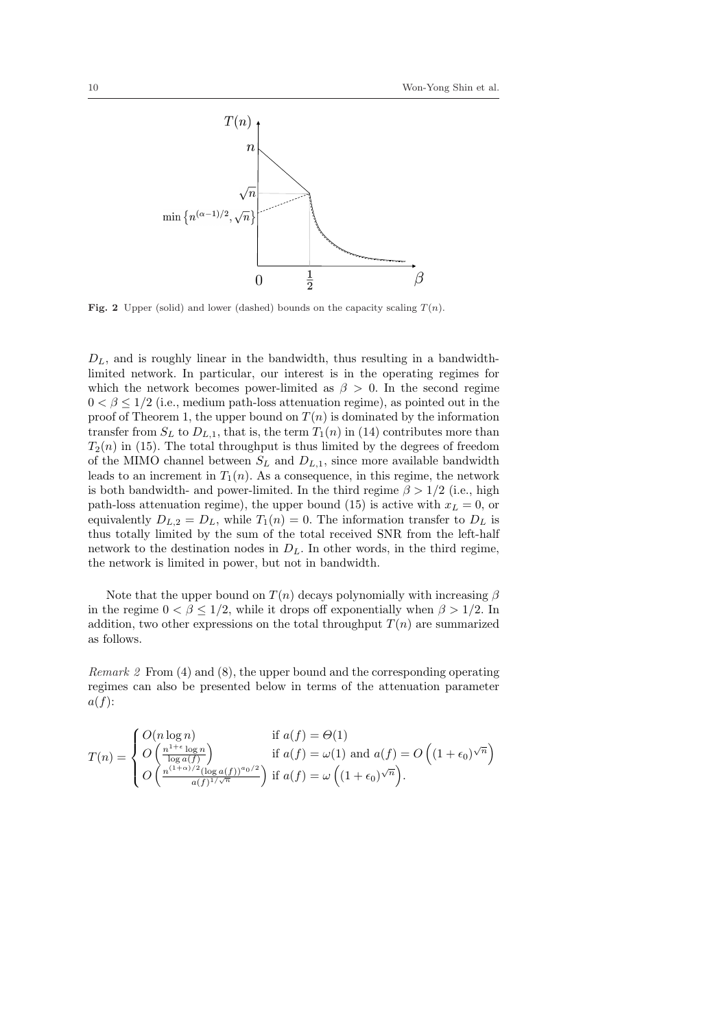

Fig. 2 Upper (solid) and lower (dashed) bounds on the capacity scaling  $T(n)$ .

 $D_L$ , and is roughly linear in the bandwidth, thus resulting in a bandwidthlimited network. In particular, our interest is in the operating regimes for which the network becomes power-limited as  $\beta > 0$ . In the second regime  $0 < \beta \leq 1/2$  (i.e., medium path-loss attenuation regime), as pointed out in the proof of Theorem 1, the upper bound on  $T(n)$  is dominated by the information transfer from  $S_L$  to  $D_{L,1}$ , that is, the term  $T_1(n)$  in (14) contributes more than  $T_2(n)$  in (15). The total throughput is thus limited by the degrees of freedom of the MIMO channel between  $S_L$  and  $D_{L,1}$ , since more available bandwidth leads to an increment in  $T_1(n)$ . As a consequence, in this regime, the network is both bandwidth- and power-limited. In the third regime  $\beta > 1/2$  (i.e., high path-loss attenuation regime), the upper bound (15) is active with  $x_L = 0$ , or equivalently  $D_{L,2} = D_L$ , while  $T_1(n) = 0$ . The information transfer to  $D_L$  is thus totally limited by the sum of the total received SNR from the left-half network to the destination nodes in  $D<sub>L</sub>$ . In other words, in the third regime, the network is limited in power, but not in bandwidth.

Note that the upper bound on  $T(n)$  decays polynomially with increasing  $\beta$ in the regime  $0 < \beta < 1/2$ , while it drops off exponentially when  $\beta > 1/2$ . In addition, two other expressions on the total throughput  $T(n)$  are summarized as follows.

Remark 2 From (4) and (8), the upper bound and the corresponding operating regimes can also be presented below in terms of the attenuation parameter  $a(f)$ :

$$
T(n) = \begin{cases} O(n \log n) & \text{if } a(f) = \Theta(1) \\ O\left(\frac{n^{1+\epsilon} \log n}{\log a(f)}\right) & \text{if } a(f) = \omega(1) \text{ and } a(f) = O\left((1+\epsilon_0)^{\sqrt{n}}\right) \\ O\left(\frac{n^{(1+\alpha)/2} (\log a(f))^{\alpha_0/2}}{a(f)^{1/\sqrt{n}}}\right) & \text{if } a(f) = \omega\left((1+\epsilon_0)^{\sqrt{n}}\right). \end{cases}
$$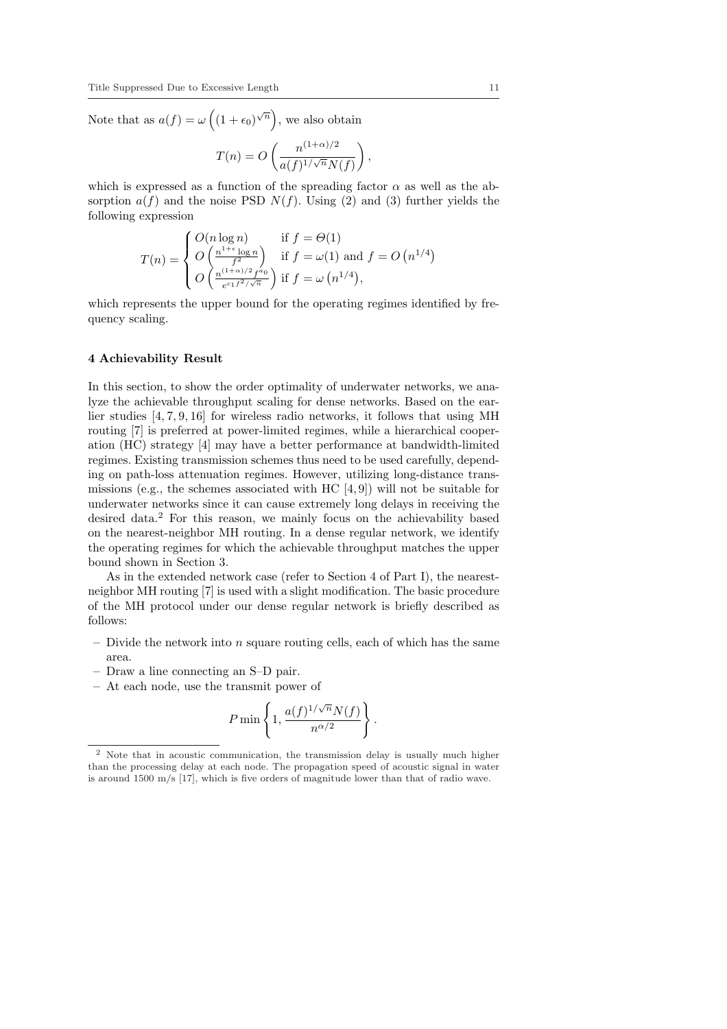Note that as  $a(f) = \omega$  $\overline{a}$  $(1+\epsilon_0)^{\sqrt{n}}$ , we also obtain

$$
T(n) = O\left(\frac{n^{(1+\alpha)/2}}{a(f)^{1/\sqrt{n}}N(f)}\right)
$$

,

which is expressed as a function of the spreading factor  $\alpha$  as well as the absorption  $a(f)$  and the noise PSD  $N(f)$ . Using (2) and (3) further yields the following expression

$$
T(n) = \begin{cases} O(n \log n) & \text{if } f = \Theta(1) \\ O\left(\frac{n^{1+\epsilon} \log n}{f^2}\right) & \text{if } f = \omega(1) \text{ and } f = O\left(n^{1/4}\right) \\ O\left(\frac{n^{(1+\alpha)/2} f^{a_0}}{e^{c_1 f^2 / \sqrt{n}}}\right) & \text{if } f = \omega\left(n^{1/4}\right), \end{cases}
$$

which represents the upper bound for the operating regimes identified by frequency scaling.

#### 4 Achievability Result

In this section, to show the order optimality of underwater networks, we analyze the achievable throughput scaling for dense networks. Based on the earlier studies [4, 7, 9, 16] for wireless radio networks, it follows that using MH routing [7] is preferred at power-limited regimes, while a hierarchical cooperation (HC) strategy [4] may have a better performance at bandwidth-limited regimes. Existing transmission schemes thus need to be used carefully, depending on path-loss attenuation regimes. However, utilizing long-distance transmissions (e.g., the schemes associated with  $HC(4, 9)$ ) will not be suitable for underwater networks since it can cause extremely long delays in receiving the desired data.<sup>2</sup> For this reason, we mainly focus on the achievability based on the nearest-neighbor MH routing. In a dense regular network, we identify the operating regimes for which the achievable throughput matches the upper bound shown in Section 3.

As in the extended network case (refer to Section 4 of Part I), the nearestneighbor MH routing [7] is used with a slight modification. The basic procedure of the MH protocol under our dense regular network is briefly described as follows:

- $-$  Divide the network into *n* square routing cells, each of which has the same area.
- Draw a line connecting an S–D pair.
- At each node, use the transmit power of

$$
P\min\left\{1,\frac{a(f)^{1/\sqrt{n}}N(f)}{n^{\alpha/2}}\right\}.
$$

<sup>2</sup> Note that in acoustic communication, the transmission delay is usually much higher than the processing delay at each node. The propagation speed of acoustic signal in water is around  $1500 \text{ m/s}$  [17], which is five orders of magnitude lower than that of radio wave.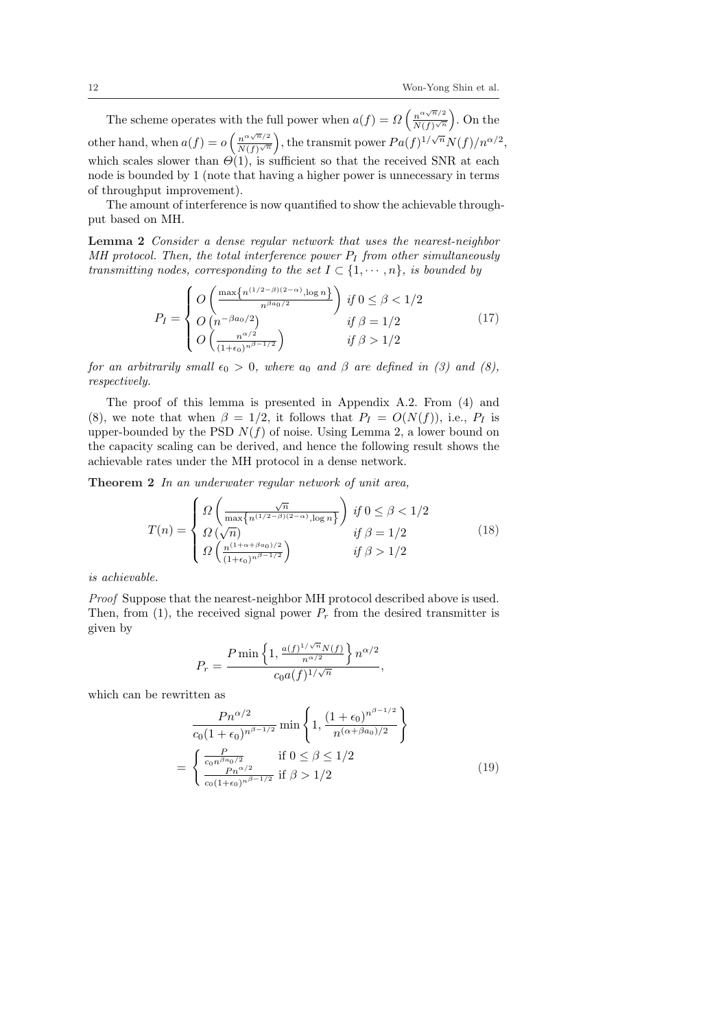The scheme operates with the full power when  $a(f) = \Omega$  $\int n^{\alpha\sqrt{n}/2}$  $\frac{n}{N(f)\sqrt{n}}$ ´ ith the full power when  $a(f) = \Omega\left(\frac{n^{\alpha \sqrt{n}}}{N(f)^{\sqrt{n}}}\right)$ . On the other hand, when  $a(f) = o\left(\frac{n^{\alpha\sqrt{n}}/2}{N(f)\sqrt{n}}\right)$  $\frac{n^{\alpha\sqrt{n}/2}}{N(f)\sqrt{n}}\Big)$ , the transmit power  $Pa(f)^{1/\sqrt{n}}N(f)/n^{\alpha/2}$ , which scales slower than  $\Theta(1)$ , is sufficient so that the received SNR at each node is bounded by 1 (note that having a higher power is unnecessary in terms of throughput improvement).

The amount of interference is now quantified to show the achievable throughput based on MH.

Lemma 2 Consider a dense regular network that uses the nearest-neighbor  $MH$  protocol. Then, the total interference power  $P_I$  from other simultaneously transmitting nodes, corresponding to the set  $I \subset \{1, \dots, n\}$ , is bounded by

$$
P_{I} = \begin{cases} O\left(\frac{\max\{n^{(1/2-\beta)(2-\alpha)}, \log n\}}{n^{\beta a_{0}/2}}\right) & \text{if } 0 \le \beta < 1/2\\ O\left(n^{-\beta a_{0}/2}\right) & \text{if } \beta = 1/2\\ O\left(\frac{n^{\alpha/2}}{(1+\epsilon_{0})^{n^{\beta-1}/2}}\right) & \text{if } \beta > 1/2 \end{cases}
$$
(17)

for an arbitrarily small  $\epsilon_0 > 0$ , where  $a_0$  and  $\beta$  are defined in (3) and (8), respectively.

The proof of this lemma is presented in Appendix A.2. From (4) and (8), we note that when  $\beta = 1/2$ , it follows that  $P_I = O(N(f))$ , i.e.,  $P_I$  is upper-bounded by the PSD  $N(f)$  of noise. Using Lemma 2, a lower bound on the capacity scaling can be derived, and hence the following result shows the achievable rates under the MH protocol in a dense network.

Theorem 2 In an underwater regular network of unit area,

$$
T(n) = \begin{cases} \Omega\left(\frac{\sqrt{n}}{\max\{n^{(1/2-\beta)(2-\alpha)}, \log n\}}\right) & \text{if } 0 \le \beta < 1/2\\ \Omega\left(\sqrt{n}\right) & \text{if } \beta = 1/2\\ \Omega\left(\frac{n^{(1+\alpha+\beta a_0)/2}}{(1+\epsilon_0)^{n^{\beta-1/2}}}\right) & \text{if } \beta > 1/2 \end{cases} \tag{18}
$$

is achievable.

Proof Suppose that the nearest-neighbor MH protocol described above is used. Then, from (1), the received signal power  $P_r$  from the desired transmitter is given by

$$
P_r = \frac{P \min\left\{1, \frac{a(f)^{1/\sqrt{n}} N(f)}{n^{\alpha/2}}\right\} n^{\alpha/2}}{c_0 a(f)^{1/\sqrt{n}}},
$$

which can be rewritten as

$$
\frac{Pn^{\alpha/2}}{c_0(1+\epsilon_0)^{n^{\beta-1/2}}} \min\left\{1, \frac{(1+\epsilon_0)^{n^{\beta-1/2}}}{n^{(\alpha+\beta a_0)/2}}\right\}
$$
\n
$$
= \begin{cases} \frac{P}{c_0 n^{\beta a_0/2}} & \text{if } 0 \le \beta \le 1/2\\ \frac{Pn^{\alpha/2}}{c_0 (1+\epsilon_0)^{n^{\beta-1/2}}} & \text{if } \beta > 1/2 \end{cases}
$$
\n(19)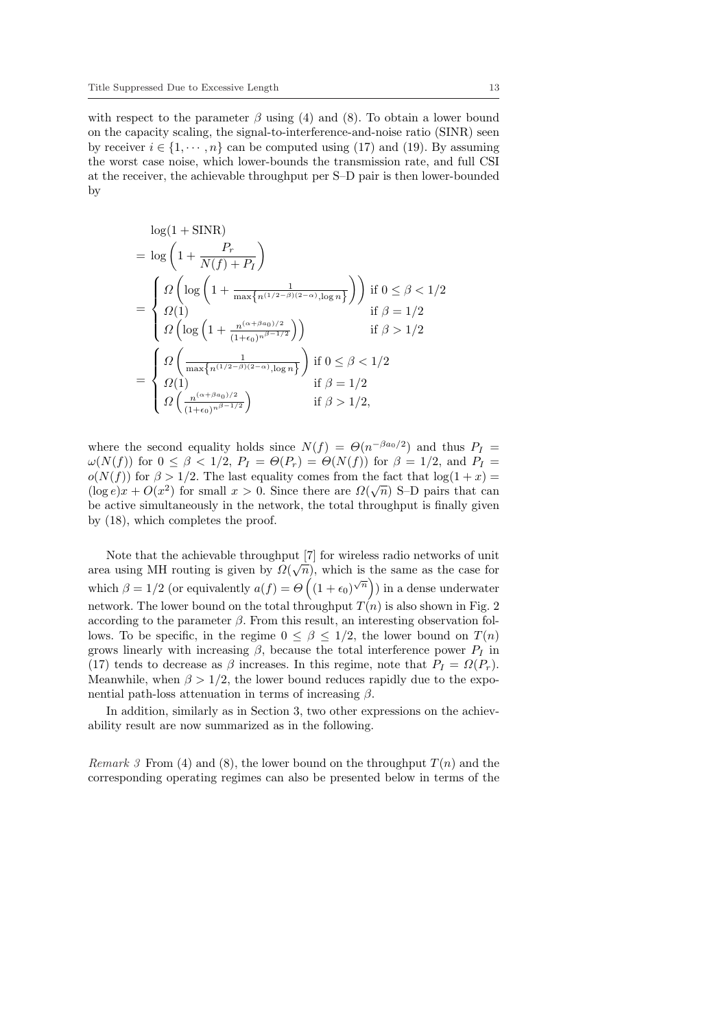with respect to the parameter  $\beta$  using (4) and (8). To obtain a lower bound on the capacity scaling, the signal-to-interference-and-noise ratio (SINR) seen by receiver  $i \in \{1, \dots, n\}$  can be computed using (17) and (19). By assuming the worst case noise, which lower-bounds the transmission rate, and full CSI at the receiver, the achievable throughput per S–D pair is then lower-bounded by

$$
\log(1 + \text{SINR})
$$
\n
$$
= \log\left(1 + \frac{P_r}{N(f) + P_I}\right)
$$
\n
$$
= \begin{cases}\n\Omega\left(\log\left(1 + \frac{1}{\max\{n^{(1/2-\beta)(2-\alpha)}, \log n\}}\right)\right) & \text{if } 0 \le \beta < 1/2 \\
\Omega(1) & \text{if } \beta = 1/2 \\
\Omega\left(\log\left(1 + \frac{n^{(\alpha + \beta a_0)/2}}{(1 + \epsilon_0)^{n\beta - 1/2}}\right)\right) & \text{if } \beta > 1/2 \\
\Omega\left(\frac{1}{\max\{n^{(1/2-\beta)(2-\alpha)}, \log n\}}\right) & \text{if } 0 \le \beta < 1/2 \\
\Omega(1) & \text{if } \beta = 1/2 \\
\Omega\left(\frac{n^{(\alpha + \beta a_0)/2}}{(1 + \epsilon_0)^{n\beta - 1/2}}\right) & \text{if } \beta > 1/2,\n\end{cases}
$$

where the second equality holds since  $N(f) = \Theta(n^{-\beta a_0/2})$  and thus  $P_I =$  $\omega(N(f))$  for  $0 \le \beta \le 1/2$ ,  $P_I = \Theta(P_r) = \Theta(N(f))$  for  $\beta = 1/2$ , and  $P_I =$  $o(N(f))$  for  $\beta > 1/2$ . The last equality comes from the fact that  $log(1+x) =$  $(\log e)x + O(x^2)$  for small  $x > 0$ . Since there are  $\Omega(\sqrt{n})$  S-D pairs that can be active simultaneously in the network, the total throughput is finally given by (18), which completes the proof.

Note that the achievable throughput  $[7]$  for wireless radio networks of unit area using MH routing is given by  $\Omega(\sqrt{n})$ , which is the same as the case for which  $\beta = 1/2$  (or equivalently  $a(f) = \Theta((1 + \epsilon_0)^{\sqrt{n}})$ ) in a dense underwater network. The lower bound on the total throughput  $T(n)$  is also shown in Fig. 2 according to the parameter  $\beta$ . From this result, an interesting observation follows. To be specific, in the regime  $0 \leq \beta \leq 1/2$ , the lower bound on  $T(n)$ grows linearly with increasing  $\beta$ , because the total interference power  $P_I$  in (17) tends to decrease as  $\beta$  increases. In this regime, note that  $P_I = \Omega(P_r)$ . Meanwhile, when  $\beta > 1/2$ , the lower bound reduces rapidly due to the exponential path-loss attenuation in terms of increasing  $\beta$ .

In addition, similarly as in Section 3, two other expressions on the achievability result are now summarized as in the following.

*Remark 3* From (4) and (8), the lower bound on the throughput  $T(n)$  and the corresponding operating regimes can also be presented below in terms of the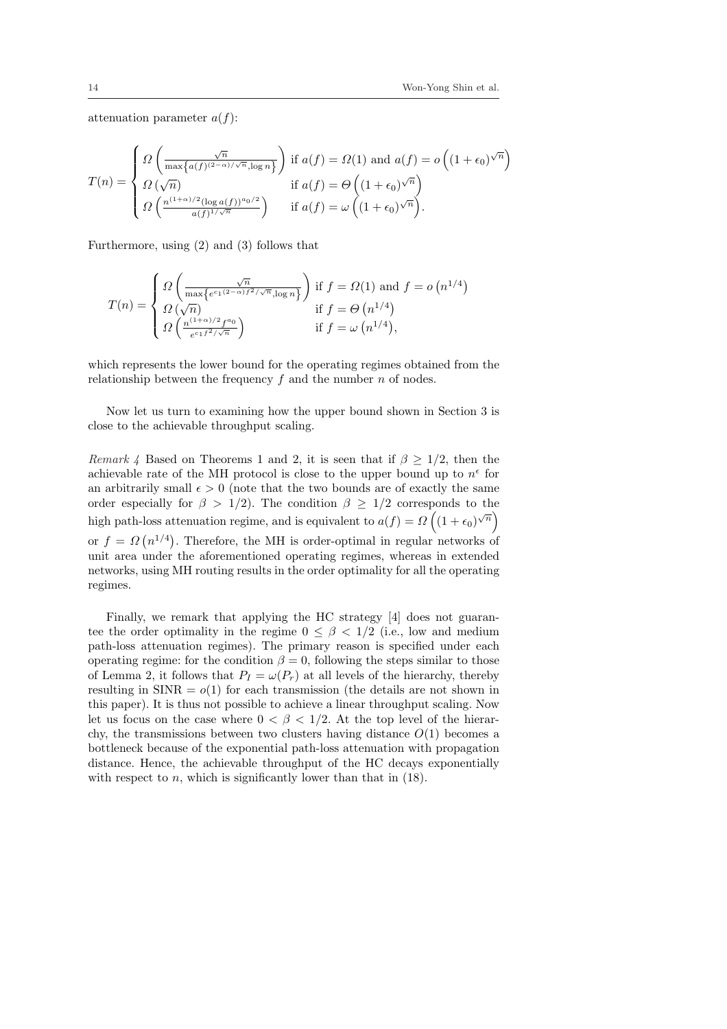attenuation parameter  $a(f)$ :

$$
T(n) = \begin{cases} \Omega\left(\frac{\sqrt{n}}{\max\{a(f)^{(2-\alpha)/\sqrt{n}}, \log n\}}\right) & \text{if } a(f) = \Omega(1) \text{ and } a(f) = o\left((1+\epsilon_0)^{\sqrt{n}}\right) \\ \Omega\left(\sqrt{n}\right) & \text{if } a(f) = \Theta\left((1+\epsilon_0)^{\sqrt{n}}\right) \\ \Omega\left(\frac{n^{(1+\alpha)/2}(\log a(f))^{a_0/2}}{a(f)^{1/\sqrt{n}}}\right) & \text{if } a(f) = \omega\left((1+\epsilon_0)^{\sqrt{n}}\right). \end{cases}
$$

Furthermore, using (2) and (3) follows that

$$
T(n) = \begin{cases} \Omega\left(\frac{\sqrt{n}}{\max\{e^{c_1(2-\alpha)f^2/\sqrt{n}}, \log n\}}\right) & \text{if } f = \Omega(1) \text{ and } f = o\left(n^{1/4}\right) \\ \Omega\left(\sqrt{n}\right) & \text{if } f = \Theta\left(n^{1/4}\right) \\ \Omega\left(\frac{n^{(1+\alpha)/2}f^{a_0}}{e^{c_1f^2/\sqrt{n}}}\right) & \text{if } f = \omega\left(n^{1/4}\right), \end{cases}
$$

which represents the lower bound for the operating regimes obtained from the relationship between the frequency  $f$  and the number  $n$  of nodes.

Now let us turn to examining how the upper bound shown in Section 3 is close to the achievable throughput scaling.

Remark 4 Based on Theorems 1 and 2, it is seen that if  $\beta \geq 1/2$ , then the achievable rate of the MH protocol is close to the upper bound up to  $n^{\epsilon}$  for an arbitrarily small  $\epsilon > 0$  (note that the two bounds are of exactly the same order especially for  $\beta > 1/2$ ). The condition  $\beta \geq 1/2$  corresponds to the high path-loss attenuation regime, and is equivalent to  $a(f) = \Omega((1 + \epsilon_0)^{\sqrt{n}})$ or  $f = \Omega$ ¡  $n^{1/4}$ . Therefore, the MH is order-optimal in regular networks of unit area under the aforementioned operating regimes, whereas in extended networks, using MH routing results in the order optimality for all the operating regimes.

Finally, we remark that applying the HC strategy [4] does not guarantee the order optimality in the regime  $0 \leq \beta < 1/2$  (i.e., low and medium path-loss attenuation regimes). The primary reason is specified under each operating regime: for the condition  $\beta = 0$ , following the steps similar to those of Lemma 2, it follows that  $P_I = \omega(P_r)$  at all levels of the hierarchy, thereby resulting in  $SINR = o(1)$  for each transmission (the details are not shown in this paper). It is thus not possible to achieve a linear throughput scaling. Now let us focus on the case where  $0 < \beta < 1/2$ . At the top level of the hierarchy, the transmissions between two clusters having distance  $O(1)$  becomes a bottleneck because of the exponential path-loss attenuation with propagation distance. Hence, the achievable throughput of the HC decays exponentially with respect to  $n$ , which is significantly lower than that in  $(18)$ .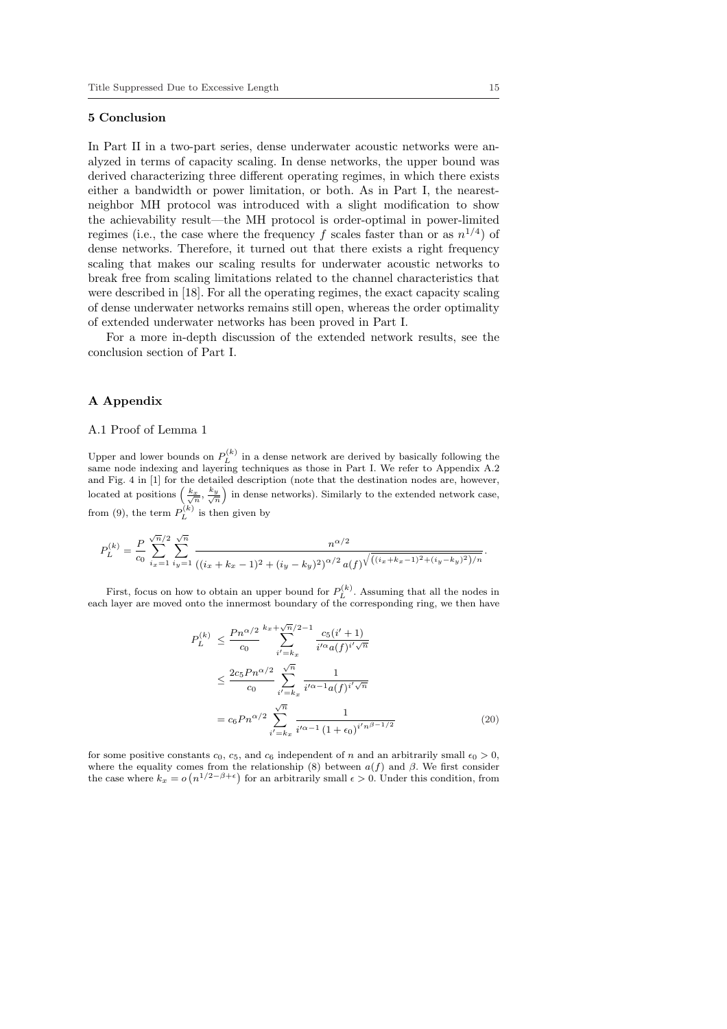#### 5 Conclusion

In Part II in a two-part series, dense underwater acoustic networks were analyzed in terms of capacity scaling. In dense networks, the upper bound was derived characterizing three different operating regimes, in which there exists either a bandwidth or power limitation, or both. As in Part I, the nearestneighbor MH protocol was introduced with a slight modification to show the achievability result—the MH protocol is order-optimal in power-limited regimes (i.e., the case where the frequency f scales faster than or as  $n^{1/4}$ ) of dense networks. Therefore, it turned out that there exists a right frequency scaling that makes our scaling results for underwater acoustic networks to break free from scaling limitations related to the channel characteristics that were described in [18]. For all the operating regimes, the exact capacity scaling of dense underwater networks remains still open, whereas the order optimality of extended underwater networks has been proved in Part I.

For a more in-depth discussion of the extended network results, see the conclusion section of Part I.

## A Appendix

# A.1 Proof of Lemma 1

Upper and lower bounds on  $P_L^{(k)}$  in a dense network are derived by basically following the same node indexing and layering techniques as those in Part I. We refer to Appendix A.2 and Fig. 4 in [1] for the detailed description (note that the destination nodes are, however, and Fig. 4 in [1] for the detailed description (note that the destination nodes are, nowever,<br>located at positions  $\left(\frac{k_x}{\sqrt{n}}, \frac{k_y}{\sqrt{n}}\right)$  in dense networks). Similarly to the extended network case, from (9), the term  $P_L^{(k)}$  is then given by

$$
P_L^{(k)} = \frac{P}{c_0} \sum_{i_x=1}^{\sqrt{n}/2} \sum_{i_y=1}^{\sqrt{n}} \frac{n^{\alpha/2}}{((i_x + k_x - 1)^2 + (i_y - k_y)^2)^{\alpha/2} a(f)^{\sqrt{((i_x + k_x - 1)^2 + (i_y - k_y)^2)/n}}}
$$

First, focus on how to obtain an upper bound for  $P_L^{(k)}$ . Assuming that all the nodes in each layer are moved onto the innermost boundary of the corresponding ring, we then have

$$
P_L^{(k)} \le \frac{P n^{\alpha/2}}{c_0} \sum_{i' = k_x}^{k_x + \sqrt{n}/2 - 1} \frac{c_5(i' + 1)}{i'^{\alpha} a(f)^{i' \sqrt{n}}}
$$
  

$$
\le \frac{2c_5 P n^{\alpha/2}}{c_0} \sum_{i' = k_x}^{\sqrt{n}} \frac{1}{i'^{\alpha - 1} a(f)^{i' \sqrt{n}}}
$$
  

$$
= c_6 P n^{\alpha/2} \sum_{i' = k_x}^{\sqrt{n}} \frac{1}{i'^{\alpha - 1} (1 + \epsilon_0)^{i' n^{\beta - 1/2}}}
$$
(20)

for some positive constants  $c_0$ ,  $c_5$ , and  $c_6$  independent of n and an arbitrarily small  $\epsilon_0 > 0$ , where the equality comes from the relationship (8) between  $a(f)$  and  $\beta$ . We first consider where the equality comes from the relationship (8) between  $a(f)$  and  $\beta$ . We first consider the case where  $k_x = o(n^{1/2-\beta+\epsilon})$  for an arbitrarily small  $\epsilon > 0$ . Under this condition, from

.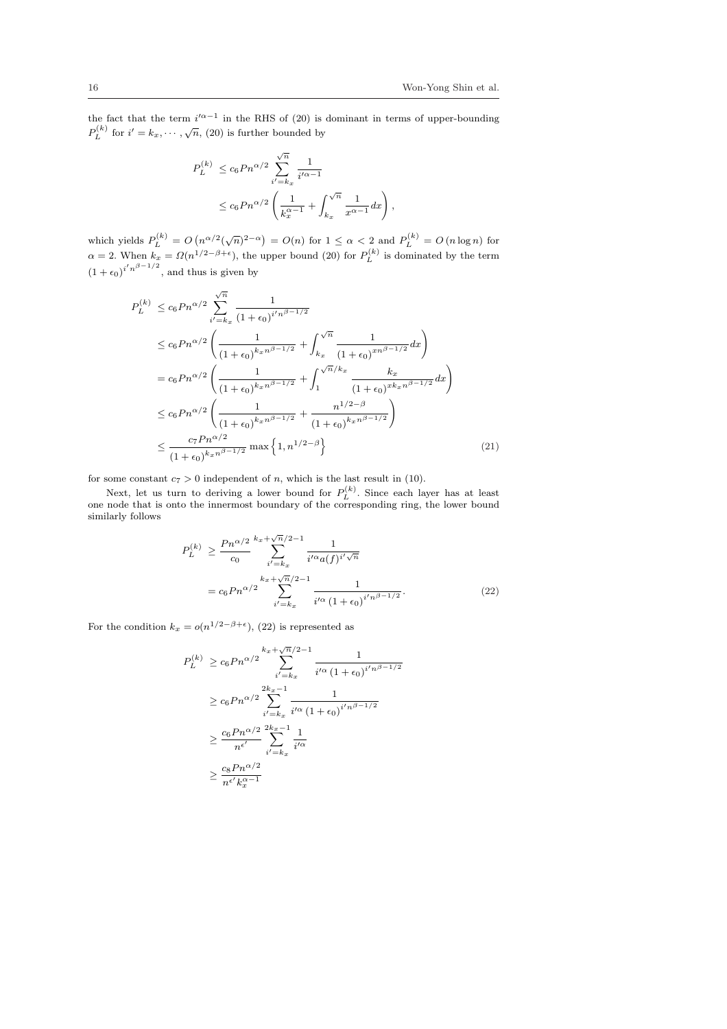,

the fact that the term  $i'^{\alpha-1}$  in the RHS of (20) is dominant in terms of upper-bounding  $P_L^{(k)}$  for  $i' = k_x, \dots, \sqrt{n}$ , (20) is further bounded by

$$
P_L^{(k)} \le c_6 P n^{\alpha/2} \sum_{i'=k_x}^{\sqrt{n}} \frac{1}{i'^{\alpha-1}}
$$
  
 
$$
\le c_6 P n^{\alpha/2} \left( \frac{1}{k_x^{\alpha-1}} + \int_{k_x}^{\sqrt{n}} \frac{1}{x^{\alpha-1}} dx \right)
$$

which yields  $P_L^{(k)} = O(n^{\alpha/2}(\sqrt{n})^{2-\alpha}) = O(n)$  for  $1 \leq \alpha < 2$  and  $P_L^{(k)} = O(n \log n)$  for  $\alpha = 2$ . When  $k_x = \Omega(n^{1/2-\beta+\epsilon})$ , the upper bound (20) for  $P_L^{(k)}$  is dominated by the term  $(1 + \epsilon_0)^{i'n^{\beta - 1/2}}$ , and thus is given by

$$
P_L^{(k)} \le c_6 P n^{\alpha/2} \sum_{i'=k_x}^{\sqrt{n}} \frac{1}{(1+\epsilon_0)^{i'n^{\beta-1/2}}}
$$
  
\n
$$
\le c_6 P n^{\alpha/2} \left( \frac{1}{(1+\epsilon_0)^{k_x n^{\beta-1/2}}} + \int_{k_x}^{\sqrt{n}} \frac{1}{(1+\epsilon_0)^{x n^{\beta-1/2}}} dx \right)
$$
  
\n
$$
= c_6 P n^{\alpha/2} \left( \frac{1}{(1+\epsilon_0)^{k_x n^{\beta-1/2}}} + \int_1^{\sqrt{n}/k_x} \frac{k_x}{(1+\epsilon_0)^{x k_x n^{\beta-1/2}}} dx \right)
$$
  
\n
$$
\le c_6 P n^{\alpha/2} \left( \frac{1}{(1+\epsilon_0)^{k_x n^{\beta-1/2}}} + \frac{n^{1/2-\beta}}{(1+\epsilon_0)^{k_x n^{\beta-1/2}}} \right)
$$
  
\n
$$
\le \frac{c_7 P n^{\alpha/2}}{(1+\epsilon_0)^{k_x n^{\beta-1/2}}} \max \left\{ 1, n^{1/2-\beta} \right\} \tag{21}
$$

for some constant  $c_7 > 0$  independent of n, which is the last result in (10).

Next, let us turn to deriving a lower bound for  $P_L^{(k)}$ . Since each layer has at least one node that is onto the innermost boundary of the corresponding ring, the lower bound similarly follows

$$
P_L^{(k)} \ge \frac{P_n^{\alpha/2}}{c_0} \sum_{i'=k_x}^{k_x + \sqrt{n}/2 - 1} \frac{1}{i'^{\alpha} a(f)^{i' \sqrt{n}}}
$$
  
=  $c_6 P_n^{\alpha/2} \sum_{i'=k_x}^{k_x + \sqrt{n}/2 - 1} \frac{1}{i'^{\alpha} (1 + \epsilon_0)^{i' n^{\beta - 1/2}}}.$  (22)

For the condition  $k_x = o(n^{1/2-\beta+\epsilon})$ , (22) is represented as

$$
P_L^{(k)} \ge c_6 P n^{\alpha/2} \sum_{i'=k_x}^{k_x + \sqrt{n}/2 - 1} \frac{1}{i'^{\alpha} (1 + \epsilon_0)^{i'n^{\beta - 1/2}}}
$$
  
\n
$$
\ge c_6 P n^{\alpha/2} \sum_{i'=k_x}^{2k_x - 1} \frac{1}{i'^{\alpha} (1 + \epsilon_0)^{i'n^{\beta - 1/2}}}
$$
  
\n
$$
\ge \frac{c_6 P n^{\alpha/2}}{n^{\epsilon'}} \sum_{i'=k_x}^{2k_x - 1} \frac{1}{i'^{\alpha}}
$$
  
\n
$$
\ge \frac{c_8 P n^{\alpha/2}}{n^{\epsilon'} k_x^{\alpha - 1}}
$$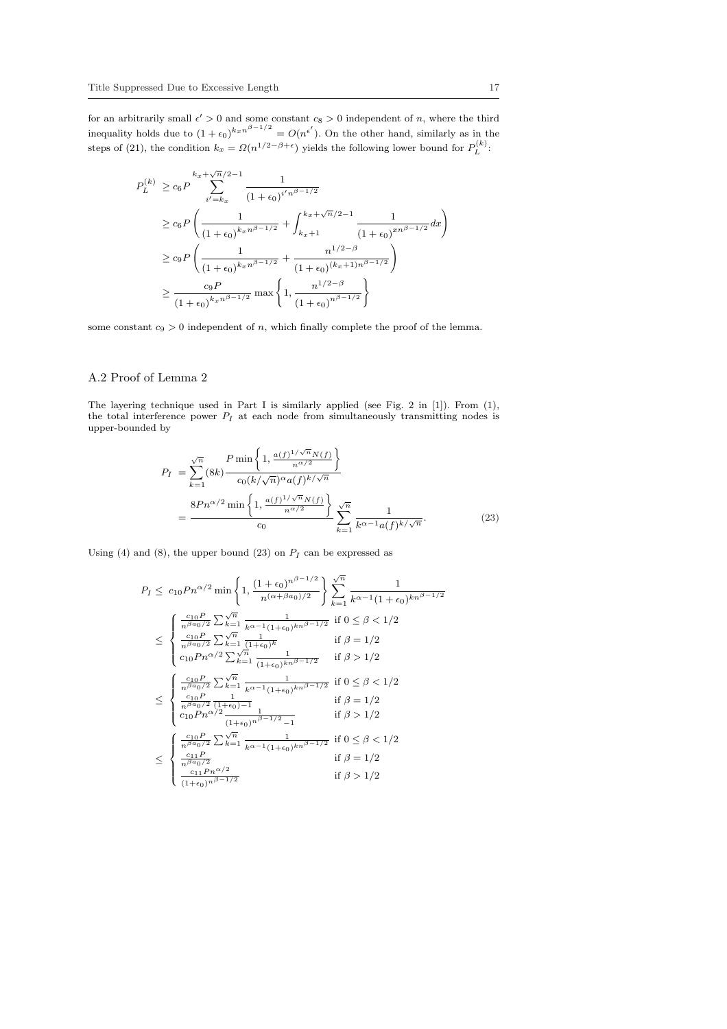for an arbitrarily small  $\epsilon' > 0$  and some constant  $c_8 > 0$  independent of n, where the third inequality holds due to  $(1+\epsilon_0)^{k_x n^{\beta-1/2}} = O(n^{\epsilon'})$ . On the other hand, similarly as in the steps of (21), the condition  $k_x = \Omega(n^{1/2-\beta+\epsilon})$  yields the following lower bound for  $P_L^{(k)}$ :

$$
P_L^{(k)} \ge c_6 P \sum_{i'=k_x}^{k_x + \sqrt{n}/2 - 1} \frac{1}{(1 + \epsilon_0)^{i'n\beta - 1/2}}
$$
  
\n
$$
\ge c_6 P \left( \frac{1}{(1 + \epsilon_0)^{k_x n\beta - 1/2}} + \int_{k_x + 1}^{k_x + \sqrt{n}/2 - 1} \frac{1}{(1 + \epsilon_0)^{xn\beta - 1/2}} dx \right)
$$
  
\n
$$
\ge c_9 P \left( \frac{1}{(1 + \epsilon_0)^{k_x n\beta - 1/2}} + \frac{n^{1/2 - \beta}}{(1 + \epsilon_0)^{(k_x + 1)n\beta - 1/2}} \right)
$$
  
\n
$$
\ge \frac{c_9 P}{(1 + \epsilon_0)^{k_x n\beta - 1/2}} \max \left\{ 1, \frac{n^{1/2 - \beta}}{(1 + \epsilon_0)^{n\beta - 1/2}} \right\}
$$

some constant  $c_9 > 0$  independent of n, which finally complete the proof of the lemma.

# A.2 Proof of Lemma 2

The layering technique used in Part I is similarly applied (see Fig. 2 in [1]). From (1), the total interference power  $P_I$  at each node from simultaneously transmitting nodes is upper-bounded by

$$
P_{I} = \sum_{k=1}^{\sqrt{n}} (8k) \frac{P \min\left\{1, \frac{a(f)^{1/\sqrt{n}} N(f)}{n^{\alpha/2}}\right\}}{c_{0}(k/\sqrt{n})^{\alpha} a(f)^{k/\sqrt{n}}}
$$

$$
= \frac{8Pn^{\alpha/2} \min\left\{1, \frac{a(f)^{1/\sqrt{n}} N(f)}{n^{\alpha/2}}\right\}}{c_{0}} \sum_{k=1}^{\sqrt{n}} \frac{1}{k^{\alpha-1} a(f)^{k/\sqrt{n}}}.
$$
(23)

Using (4) and (8), the upper bound (23) on  $P_I$  can be expressed as

$$
P_{I} \leq c_{10} P n^{\alpha/2} \min\left\{1, \frac{(1+\epsilon_{0})^{n^{\beta-1/2}}}{n^{(\alpha+\beta a_{0})/2}}\right\} \sum_{k=1}^{\sqrt{n}} \frac{1}{k^{\alpha-1} (1+\epsilon_{0})^{kn^{\beta-1/2}}}
$$
  
\n
$$
\leq \begin{cases} \frac{c_{10} P}{n^{\beta a_{0}/2}} \sum_{k=1}^{\sqrt{n}} \frac{1}{k^{\alpha-1} (1+\epsilon_{0})^{kn^{\beta-1/2}}} & \text{if } 0 \leq \beta < 1/2\\ \frac{c_{10} P}{n^{\beta a_{0}/2}} \sum_{k=1}^{\sqrt{n}} \frac{1}{(1+\epsilon_{0})^{k}} & \text{if } \beta = 1/2\\ c_{10} P n^{\alpha/2} \sum_{k=1}^{\sqrt{n}} \frac{1}{(1+\epsilon_{0})^{kn^{\beta-1/2}}} & \text{if } \beta > 1/2 \end{cases}
$$
  
\n
$$
\leq \begin{cases} \frac{c_{10} P}{n^{\beta a_{0}/2}} \sum_{k=1}^{\sqrt{n}} \frac{1}{k^{\alpha-1} (1+\epsilon_{0})^{kn^{\beta-1/2}}} & \text{if } 0 \leq \beta < 1/2\\ \frac{c_{10} P}{n^{\beta a_{0}/2}} \frac{1}{(1+\epsilon_{0})^{-1}} & \text{if } \beta = 1/2\\ c_{10} P n^{\alpha/2} \frac{1}{(1+\epsilon_{0})^{n^{\beta-1/2}} - 1} & \text{if } \beta > 1/2 \end{cases}
$$
  
\n
$$
\leq \begin{cases} \frac{c_{10} P}{n^{\beta a_{0}/2}} \sum_{k=1}^{\sqrt{n}} \frac{1}{k^{\alpha-1} (1+\epsilon_{0})^{kn^{\beta-1/2}}} & \text{if } 0 \leq \beta < 1/2\\ \frac{c_{11} P}{n^{\beta a_{0}/2}} \sum_{k=1}^{\sqrt{n}} \frac{1}{k^{\alpha-1} (1+\epsilon_{0})^{kn^{\beta-1/2}}} & \text{if } \beta = 1/2\\ \frac{c_{11} P}{n^{\beta a_{0}/2}} & \text{if } \beta > 1/2 \end{cases}
$$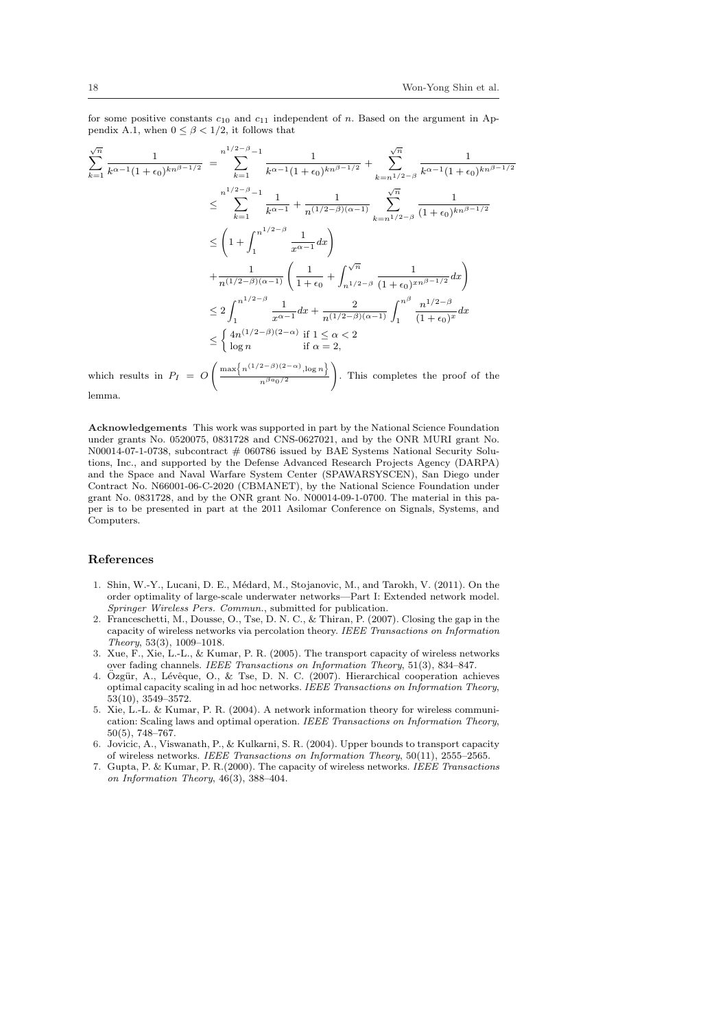for some positive constants  $c_{10}$  and  $c_{11}$  independent of n. Based on the argument in Appendix A.1, when  $0 \leq \beta \leq 1/2$ , it follows that

$$
\sum_{k=1}^{\sqrt{n}} \frac{1}{k^{\alpha-1}(1+\epsilon_0)^{kn^{\beta-1/2}}} = \sum_{k=1}^{n^{1/2-\beta}-1} \frac{1}{k^{\alpha-1}(1+\epsilon_0)^{kn^{\beta-1/2}}} + \sum_{k=n^{1/2-\beta}}^{\sqrt{n}} \frac{1}{k^{\alpha-1}(1+\epsilon_0)^{kn^{\beta-1/2}}}
$$
  
\n
$$
\leq \sum_{k=1}^{n^{1/2-\beta}-1} \frac{1}{k^{\alpha-1}} + \frac{1}{n^{1/2-\beta})(\alpha-1)} \sum_{k=n^{1/2-\beta}}^{\sqrt{n}} \frac{1}{(1+\epsilon_0)^{kn^{\beta-1/2}}}
$$
  
\n
$$
\leq \left(1+\int_1^{n^{1/2-\beta}} \frac{1}{x^{\alpha-1}} dx\right)
$$
  
\n
$$
+\frac{1}{n^{1/2-\beta})(\alpha-1} \left(\frac{1}{1+\epsilon_0}+\int_{n^{1/2-\beta}}^{\sqrt{n}} \frac{1}{(1+\epsilon_0)^{xn^{\beta-1/2}}} dx\right)
$$
  
\n
$$
\leq 2 \int_1^{n^{1/2-\beta}} \frac{1}{x^{\alpha-1}} dx + \frac{2}{n^{1/2-\beta})(\alpha-1} \int_1^{n^{\beta}} \frac{n^{1/2-\beta}}{(1+\epsilon_0)^x} dx
$$
  
\n
$$
\leq \begin{cases} 4n^{1/2-\beta}(2-\alpha) \text{ if } 1 \leq \alpha < 2 \\ \log n \end{cases}
$$
 if  $\alpha = 2$ ,  
\nwhich results in  $P_I = O\left(\frac{\max\{n^{(1/2-\beta)(2-\alpha)}, \log n\}}{n^{\beta a_0/2}}\right)$ . This completes the proof of the lemma.

Acknowledgements This work was supported in part by the National Science Foundation under grants No. 0520075, 0831728 and CNS-0627021, and by the ONR MURI grant No. N00014-07-1-0738, subcontract # 060786 issued by BAE Systems National Security Solutions, Inc., and supported by the Defense Advanced Research Projects Agency (DARPA) and the Space and Naval Warfare System Center (SPAWARSYSCEN), San Diego under Contract No. N66001-06-C-2020 (CBMANET), by the National Science Foundation under grant No. 0831728, and by the ONR grant No. N00014-09-1-0700. The material in this paper is to be presented in part at the 2011 Asilomar Conference on Signals, Systems, and Computers.

## References

- 1. Shin, W.-Y., Lucani, D. E., Médard, M., Stojanovic, M., and Tarokh, V. (2011). On the order optimality of large-scale underwater networks—Part I: Extended network model. Springer Wireless Pers. Commun., submitted for publication.
- 2. Franceschetti, M., Dousse, O., Tse, D. N. C., & Thiran, P. (2007). Closing the gap in the capacity of wireless networks via percolation theory. IEEE Transactions on Information  $Theory,\,53(3),\,1009\hbox{--}1018.$
- 3. Xue, F., Xie, L.-L., & Kumar, P. R. (2005). The transport capacity of wireless networks over fading channels. IEEE Transactions on Information Theory, 51(3), 834–847.
- 4. Özgür, A., Lévêque, O., & Tse, D. N. C. (2007). Hierarchical cooperation achieves optimal capacity scaling in ad hoc networks. IEEE Transactions on Information Theory, 53(10), 3549–3572.
- 5. Xie, L.-L. & Kumar, P. R. (2004). A network information theory for wireless communication: Scaling laws and optimal operation. IEEE Transactions on Information Theory, 50(5), 748–767.
- 6. Jovicic, A., Viswanath, P., & Kulkarni, S. R. (2004). Upper bounds to transport capacity of wireless networks. IEEE Transactions on Information Theory, 50(11), 2555–2565.
- 7. Gupta, P. & Kumar, P. R.(2000). The capacity of wireless networks. IEEE Transactions on Information Theory, 46(3), 388–404.